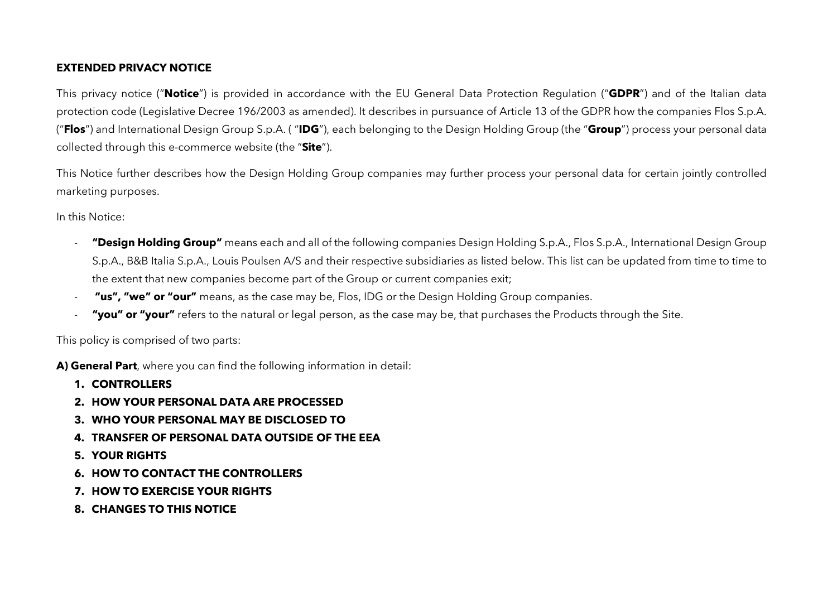## **EXTENDED PRIVACY NOTICE**

This privacy notice ("**Notice**") is provided in accordance with the EU General Data Protection Regulation ("**GDPR**") and of the Italian data protection code (Legislative Decree 196/2003 as amended). It describes in pursuance of Article 13 of the GDPR how the companies Flos S.p.A. ("**Flos**") and International Design Group S.p.A. ( "**IDG**"), each belonging to the Design Holding Group (the "**Group**") process your personal data collected through this e-commerce website (the "**Site**").

This Notice further describes how the Design Holding Group companies may further process your personal data for certain jointly controlled marketing purposes.

In this Notice:

- **"Design Holding Group"** means each and all of the following companies Design Holding S.p.A., Flos S.p.A., International Design Group S.p.A., B&B Italia S.p.A., Louis Poulsen A/S and their respective subsidiaries as listed below. This list can be updated from time to time to the extent that new companies become part of the Group or current companies exit;
- **"us", "we" or "our"** means, as the case may be, Flos, IDG or the Design Holding Group companies.
- "**you" or "your"** refers to the natural or legal person, as the case may be, that purchases the Products through the Site.

This policy is comprised of two parts:

**A) General Part**, where you can find the following information in detail:

- **1. CONTROLLERS**
- **2. HOW YOUR PERSONAL DATA ARE PROCESSED**
- **3. WHO YOUR PERSONAL MAY BE DISCLOSED TO**
- **4. TRANSFER OF PERSONAL DATA OUTSIDE OF THE EEA**
- **5. YOUR RIGHTS**
- **6. HOW TO CONTACT THE CONTROLLERS**
- **7. HOW TO EXERCISE YOUR RIGHTS**
- **8. CHANGES TO THIS NOTICE**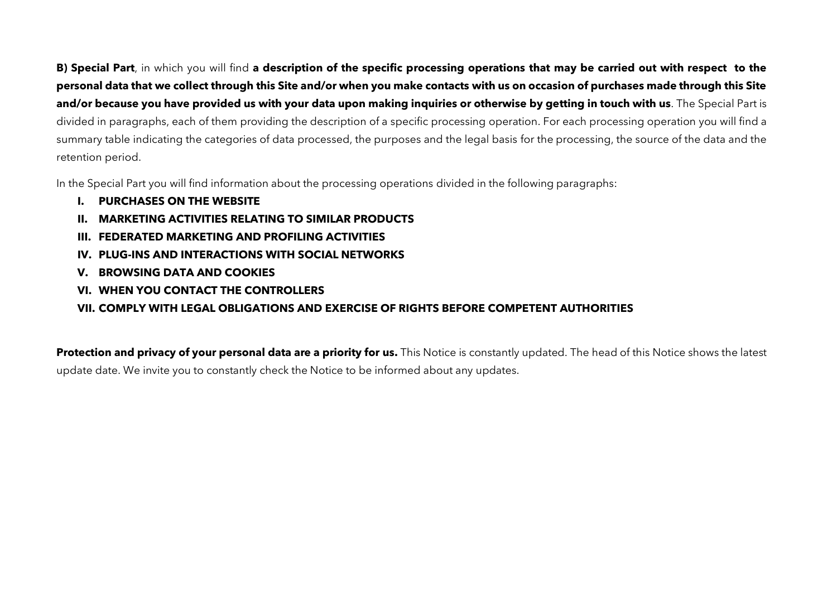**B) Special Part**, in which you will find **a description of the specific processing operations that may be carried out with respect to the personal data that we collect through this Site and/or when you make contacts with us on occasion of purchases made through this Site and/or because you have provided us with your data upon making inquiries or otherwise by getting in touch with us**. The Special Part is divided in paragraphs, each of them providing the description of a specific processing operation. For each processing operation you will find a summary table indicating the categories of data processed, the purposes and the legal basis for the processing, the source of the data and the retention period.

In the Special Part you will find information about the processing operations divided in the following paragraphs:

- **I. PURCHASES ON THE WEBSITE**
- **II. MARKETING ACTIVITIES RELATING TO SIMILAR PRODUCTS**
- **III. FEDERATED MARKETING AND PROFILING ACTIVITIES**
- **IV. PLUG-INS AND INTERACTIONS WITH SOCIAL NETWORKS**
- **V. BROWSING DATA AND COOKIES**
- **VI. WHEN YOU CONTACT THE CONTROLLERS**

## **VII. COMPLY WITH LEGAL OBLIGATIONS AND EXERCISE OF RIGHTS BEFORE COMPETENT AUTHORITIES**

**Protection and privacy of your personal data are a priority for us.** This Notice is constantly updated. The head of this Notice shows the latest update date. We invite you to constantly check the Notice to be informed about any updates.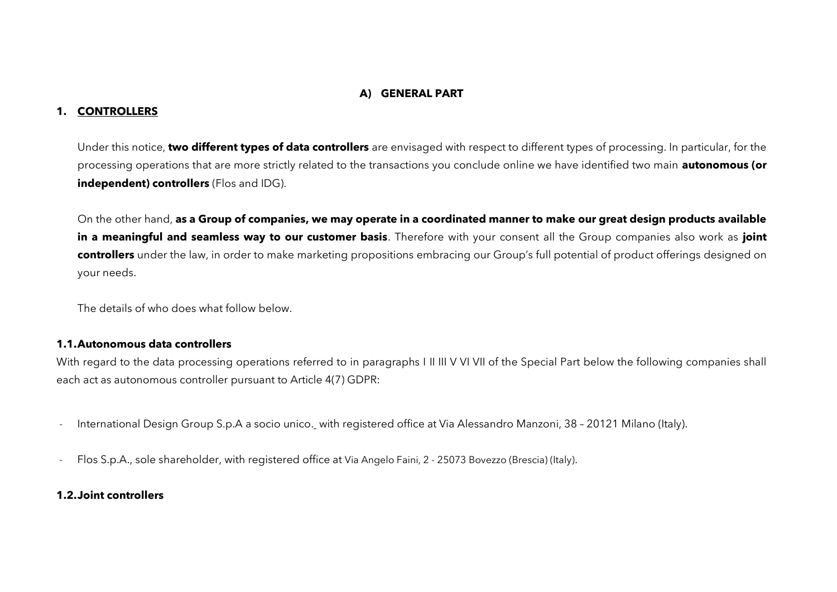#### **A) GENERAL PART**

#### **1. CONTROLLERS**

Under this notice, **two different types of data controllers** are envisaged with respect to different types of processing. In particular, for the processing operations that are more strictly related to the transactions you conclude online we have identified two main **autonomous (or independent) controllers** (Flos and IDG).

On the other hand, **as a Group of companies, we may operate in a coordinated manner to make our great design products available in a meaningful and seamless way to our customer basis**. Therefore with your consent all the Group companies also work as **joint controllers** under the law, in order to make marketing propositions embracing our Group's full potential of product offerings designed on your needs.

The details of who does what follow below.

#### **1.1.Autonomous data controllers**

With regard to the data processing operations referred to in paragraphs I II III V VI VII of the Special Part below the following companies shall each act as autonomous controller pursuant to Article 4(7) GDPR:

- International Design Group S.p.A a socio unico. with registered office at Via Alessandro Manzoni, 38 20121 Milano (Italy).
- Flos S.p.A., sole shareholder, with registered office at Via Angelo Faini, 2 25073 Bovezzo (Brescia) (Italy).

#### **1.2.Joint controllers**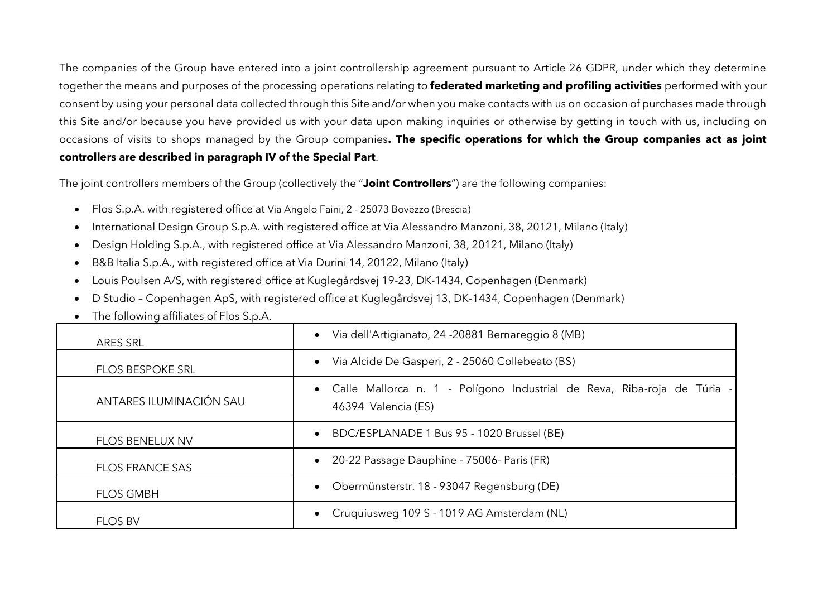The companies of the Group have entered into a joint controllership agreement pursuant to Article 26 GDPR, under which they determine together the means and purposes of the processing operations relating to **federated marketing and profiling activities** performed with your consent by using your personal data collected through this Site and/or when you make contacts with us on occasion of purchases made through this Site and/or because you have provided us with your data upon making inquiries or otherwise by getting in touch with us, including on occasions of visits to shops managed by the Group companies**. The specific operations for which the Group companies act as joint controllers are described in paragraph IV of the Special Part**.

The joint controllers members of the Group (collectively the "**Joint Controllers**") are the following companies:

- Flos S.p.A. with registered office at Via Angelo Faini, 2 25073 Bovezzo (Brescia)
- International Design Group S.p.A. with registered office at Via Alessandro Manzoni, 38, 20121, Milano (Italy)
- Design Holding S.p.A., with registered office at Via Alessandro Manzoni, 38, 20121, Milano (Italy)
- B&B Italia S.p.A., with registered office at Via Durini 14, 20122, Milano (Italy)
- Louis Poulsen A/S, with registered office at Kuglegårdsvej 19-23, DK-1434, Copenhagen (Denmark)
- D Studio Copenhagen ApS, with registered office at Kuglegårdsvej 13, DK-1434, Copenhagen (Denmark)
- The following affiliates of Flos S.p.A.

| ARES SRL                | · Via dell'Artigianato, 24 -20881 Bernareggio 8 (MB)                                             |  |  |  |  |  |  |
|-------------------------|--------------------------------------------------------------------------------------------------|--|--|--|--|--|--|
| <b>FLOS BESPOKE SRL</b> | Via Alcide De Gasperi, 2 - 25060 Collebeato (BS)<br>$\bullet$                                    |  |  |  |  |  |  |
| ANTARES ILUMINACIÓN SAU | • Calle Mallorca n. 1 - Polígono Industrial de Reva, Riba-roja de Túria -<br>46394 Valencia (ES) |  |  |  |  |  |  |
| <b>FLOS BENELUX NV</b>  | BDC/ESPLANADE 1 Bus 95 - 1020 Brussel (BE)<br>$\bullet$                                          |  |  |  |  |  |  |
| <b>FLOS FRANCE SAS</b>  | • 20-22 Passage Dauphine - 75006- Paris (FR)                                                     |  |  |  |  |  |  |
| <b>FLOS GMBH</b>        | • Obermünsterstr. 18 - 93047 Regensburg (DE)                                                     |  |  |  |  |  |  |
| <b>FLOS BV</b>          | Cruquiusweg 109 S - 1019 AG Amsterdam (NL)<br>$\bullet$                                          |  |  |  |  |  |  |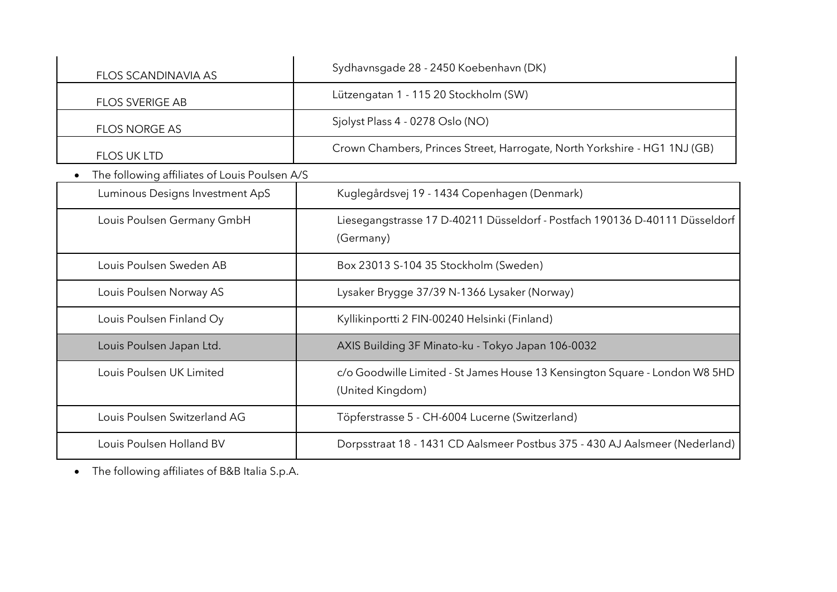| <b>FLOS SCANDINAVIA AS</b>                    | Sydhavnsgade 28 - 2450 Koebenhavn (DK)                                                          |  |  |  |  |
|-----------------------------------------------|-------------------------------------------------------------------------------------------------|--|--|--|--|
| <b>FLOS SVERIGE AB</b>                        | Lützengatan 1 - 115 20 Stockholm (SW)                                                           |  |  |  |  |
| <b>FLOS NORGE AS</b>                          | Sjolyst Plass 4 - 0278 Oslo (NO)                                                                |  |  |  |  |
| <b>FLOS UK LTD</b>                            | Crown Chambers, Princes Street, Harrogate, North Yorkshire - HG1 1NJ (GB)                       |  |  |  |  |
| The following affiliates of Louis Poulsen A/S |                                                                                                 |  |  |  |  |
| Luminous Designs Investment ApS               | Kuglegårdsvej 19 - 1434 Copenhagen (Denmark)                                                    |  |  |  |  |
| Louis Poulsen Germany GmbH                    | Liesegangstrasse 17 D-40211 Düsseldorf - Postfach 190136 D-40111 Düsseldorf<br>(Germany)        |  |  |  |  |
| Louis Poulsen Sweden AB                       | Box 23013 S-104 35 Stockholm (Sweden)                                                           |  |  |  |  |
| Louis Poulsen Norway AS                       | Lysaker Brygge 37/39 N-1366 Lysaker (Norway)                                                    |  |  |  |  |
| Louis Poulsen Finland Oy                      | Kyllikinportti 2 FIN-00240 Helsinki (Finland)                                                   |  |  |  |  |
| Louis Poulsen Japan Ltd.                      | AXIS Building 3F Minato-ku - Tokyo Japan 106-0032                                               |  |  |  |  |
| Louis Poulsen UK Limited                      | c/o Goodwille Limited - St James House 13 Kensington Square - London W8 5HD<br>(United Kingdom) |  |  |  |  |
| Louis Poulsen Switzerland AG                  | Töpferstrasse 5 - CH-6004 Lucerne (Switzerland)                                                 |  |  |  |  |
| Louis Poulsen Holland BV                      | Dorpsstraat 18 - 1431 CD Aalsmeer Postbus 375 - 430 AJ Aalsmeer (Nederland)                     |  |  |  |  |

• The following affiliates of B&B Italia S.p.A.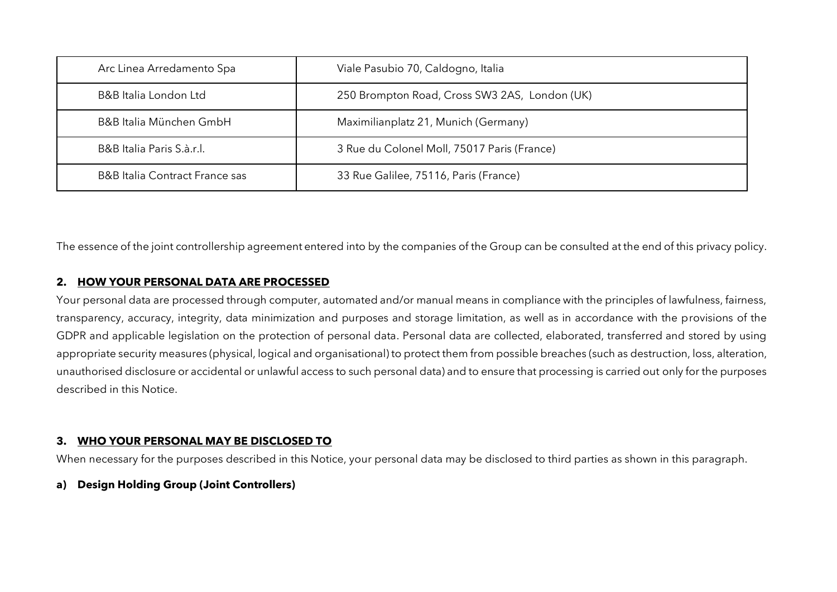| Arc Linea Arredamento Spa                 | Viale Pasubio 70, Caldogno, Italia            |
|-------------------------------------------|-----------------------------------------------|
| B&B Italia London Ltd                     | 250 Brompton Road, Cross SW3 2AS, London (UK) |
| B&B Italia München GmbH                   | Maximilianplatz 21, Munich (Germany)          |
| B&B Italia Paris S.à.r.l.                 | 3 Rue du Colonel Moll, 75017 Paris (France)   |
| <b>B&amp;B</b> Italia Contract France sas | 33 Rue Galilee, 75116, Paris (France)         |

The essence of the joint controllership agreement entered into by the companies of the Group can be consulted at the end of this privacy policy.

#### **2. HOW YOUR PERSONAL DATA ARE PROCESSED**

Your personal data are processed through computer, automated and/or manual means in compliance with the principles of lawfulness, fairness, transparency, accuracy, integrity, data minimization and purposes and storage limitation, as well as in accordance with the provisions of the GDPR and applicable legislation on the protection of personal data. Personal data are collected, elaborated, transferred and stored by using appropriate security measures (physical, logical and organisational) to protect them from possible breaches (such as destruction, loss, alteration, unauthorised disclosure or accidental or unlawful access to such personal data) and to ensure that processing is carried out only for the purposes described in this Notice.

#### **3. WHO YOUR PERSONAL MAY BE DISCLOSED TO**

When necessary for the purposes described in this Notice, your personal data may be disclosed to third parties as shown in this paragraph.

#### **a) Design Holding Group (Joint Controllers)**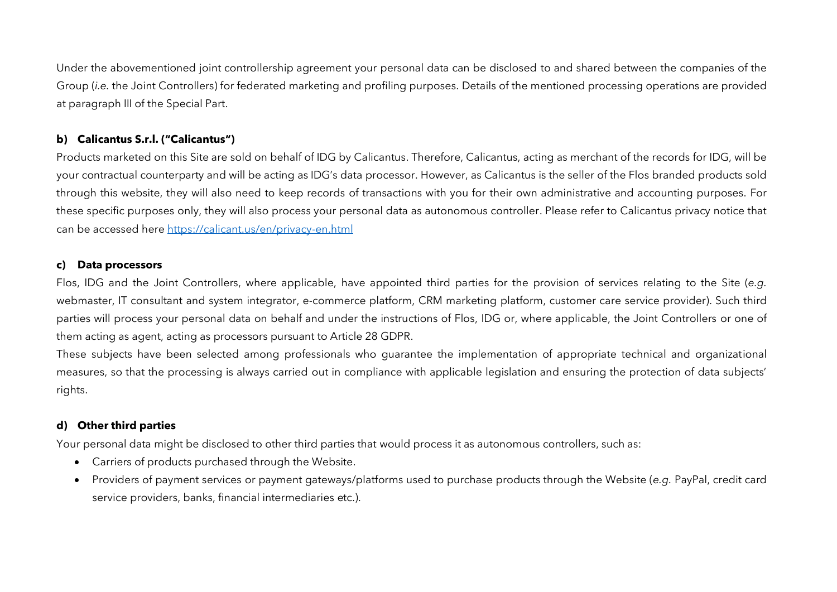Under the abovementioned joint controllership agreement your personal data can be disclosed to and shared between the companies of the Group (*i.e.* the Joint Controllers) for federated marketing and profiling purposes. Details of the mentioned processing operations are provided at paragraph [III](#page-13-0) of the Special Part.

## **b) Calicantus S.r.l. ("Calicantus")**

Products marketed on this Site are sold on behalf of IDG by Calicantus. Therefore, Calicantus, acting as merchant of the records for IDG, will be your contractual counterparty and will be acting as IDG's data processor. However, as Calicantus is the seller of the Flos branded products sold through this website, they will also need to keep records of transactions with you for their own administrative and accounting purposes. For these specific purposes only, they will also process your personal data as autonomous controller. Please refer to Calicantus privacy notice that can be accessed here <https://calicant.us/en/privacy-en.html>

### **c) Data processors**

Flos, IDG and the Joint Controllers, where applicable, have appointed third parties for the provision of services relating to the Site (*e.g.* webmaster, IT consultant and system integrator, e-commerce platform, CRM marketing platform, customer care service provider). Such third parties will process your personal data on behalf and under the instructions of Flos, IDG or, where applicable, the Joint Controllers or one of them acting as agent, acting as processors pursuant to Article 28 GDPR.

These subjects have been selected among professionals who guarantee the implementation of appropriate technical and organizational measures, so that the processing is always carried out in compliance with applicable legislation and ensuring the protection of data subjects' rights.

# **d) Other third parties**

Your personal data might be disclosed to other third parties that would process it as autonomous controllers, such as:

- Carriers of products purchased through the Website.
- Providers of payment services or payment gateways/platforms used to purchase products through the Website (*e.g.* PayPal, credit card service providers, banks, financial intermediaries etc.).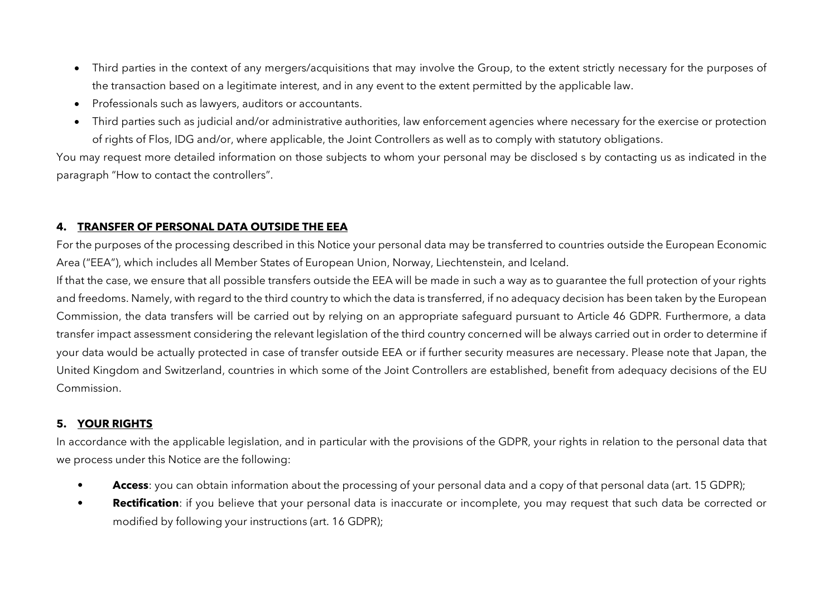- Third parties in the context of any mergers/acquisitions that may involve the Group, to the extent strictly necessary for the purposes of the transaction based on a legitimate interest, and in any event to the extent permitted by the applicable law.
- Professionals such as lawyers, auditors or accountants.
- Third parties such as judicial and/or administrative authorities, law enforcement agencies where necessary for the exercise or protection of rights of Flos, IDG and/or, where applicable, the Joint Controllers as well as to comply with statutory obligations.

You may request more detailed information on those subjects to whom your personal may be disclosed s by contacting us as indicated in the paragraph "How to contact the controllers".

## **4. TRANSFER OF PERSONAL DATA OUTSIDE THE EEA**

For the purposes of the processing described in this Notice your personal data may be transferred to countries outside the European Economic Area ("EEA"), which includes all Member States of European Union, Norway, Liechtenstein, and Iceland.

If that the case, we ensure that all possible transfers outside the EEA will be made in such a way as to guarantee the full protection of your rights and freedoms. Namely, with regard to the third country to which the data is transferred, if no adequacy decision has been taken by the European Commission, the data transfers will be carried out by relying on an appropriate safeguard pursuant to Article 46 GDPR. Furthermore, a data transfer impact assessment considering the relevant legislation of the third country concerned will be always carried out in order to determine if your data would be actually protected in case of transfer outside EEA or if further security measures are necessary. Please note that Japan, the United Kingdom and Switzerland, countries in which some of the Joint Controllers are established, benefit from adequacy decisions of the EU Commission.

## **5. YOUR RIGHTS**

In accordance with the applicable legislation, and in particular with the provisions of the GDPR, your rights in relation to the personal data that we process under this Notice are the following:

- **Access**: you can obtain information about the processing of your personal data and a copy of that personal data (art. 15 GDPR);
- **Rectification**: if you believe that your personal data is inaccurate or incomplete, you may request that such data be corrected or modified by following your instructions (art. 16 GDPR);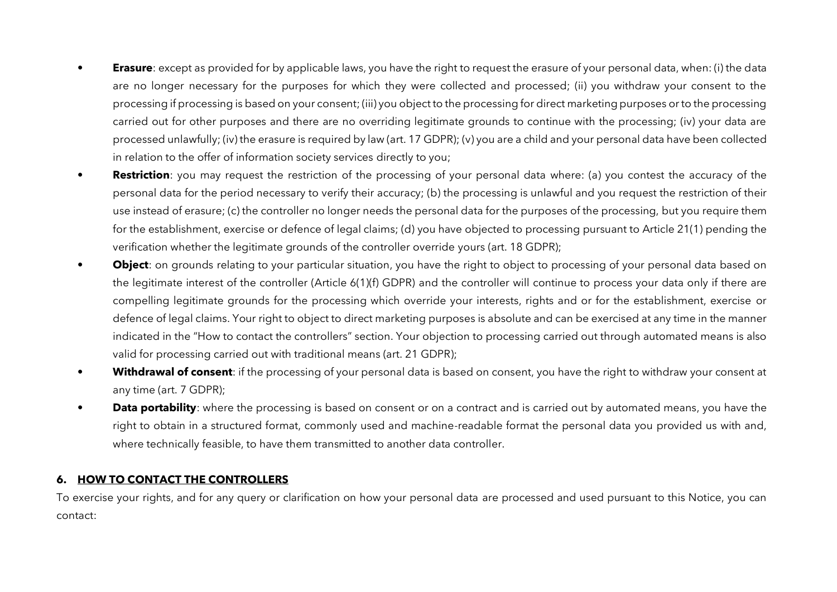- **Erasure**: except as provided for by applicable laws, you have the right to request the erasure of your personal data, when: (i) the data are no longer necessary for the purposes for which they were collected and processed; (ii) you withdraw your consent to the processing if processing is based on your consent; (iii) you object to the processing for direct marketing purposes or to the processing carried out for other purposes and there are no overriding legitimate grounds to continue with the processing; (iv) your data are processed unlawfully; (iv) the erasure is required by law (art. 17 GDPR); (v) you are a child and your personal data have been collected in relation to the offer of information society services directly to you;
- **Restriction**: you may request the restriction of the processing of your personal data where: (a) you contest the accuracy of the personal data for the period necessary to verify their accuracy; (b) the processing is unlawful and you request the restriction of their use instead of erasure; (c) the controller no longer needs the personal data for the purposes of the processing, but you require them for the establishment, exercise or defence of legal claims; (d) you have objected to processing pursuant to Article 21(1) pending the verification whether the legitimate grounds of the controller override yours (art. 18 GDPR);
- **Object**: on grounds relating to your particular situation, you have the right to object to processing of your personal data based on the legitimate interest of the controller (Article 6(1)(f) GDPR) and the controller will continue to process your data only if there are compelling legitimate grounds for the processing which override your interests, rights and or for the establishment, exercise or defence of legal claims. Your right to object to direct marketing purposes is absolute and can be exercised at any time in the manner indicated in the "How to contact the controllers" section. Your objection to processing carried out through automated means is also valid for processing carried out with traditional means (art. 21 GDPR);
- **Withdrawal of consent**: if the processing of your personal data is based on consent, you have the right to withdraw your consent at any time (art. 7 GDPR);
- **Data portability**: where the processing is based on consent or on a contract and is carried out by automated means, you have the right to obtain in a structured format, commonly used and machine-readable format the personal data you provided us with and, where technically feasible, to have them transmitted to another data controller.

#### **6. HOW TO CONTACT THE CONTROLLERS**

To exercise your rights, and for any query or clarification on how your personal data are processed and used pursuant to this Notice, you can contact: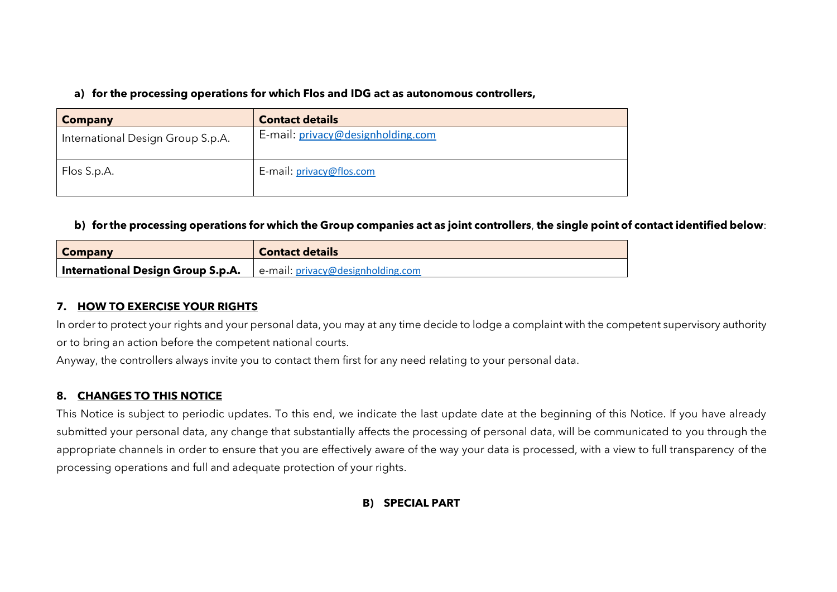**a) for the processing operations for which Flos and IDG act as autonomous controllers,**

| <b>Company</b>                    | <b>Contact details</b>            |
|-----------------------------------|-----------------------------------|
| International Design Group S.p.A. | E-mail: privacy@designholding.com |
| Flos S.p.A.                       | E-mail: privacy@flos.com          |

### **b) for the processing operations for which the Group companies act as joint controllers**, **the single point of contact identified below**:

| <b>Company</b>                    | <b>Contact details</b>                           |
|-----------------------------------|--------------------------------------------------|
| International Design Group S.p.A. | $\blacksquare$ e-mail: privacy@designholding.com |

## **7. HOW TO EXERCISE YOUR RIGHTS**

In order to protect your rights and your personal data, you may at any time decide to lodge a complaint with the competent supervisory authority or to bring an action before the competent national courts.

Anyway, the controllers always invite you to contact them first for any need relating to your personal data.

## **8. CHANGES TO THIS NOTICE**

This Notice is subject to periodic updates. To this end, we indicate the last update date at the beginning of this Notice. If you have already submitted your personal data, any change that substantially affects the processing of personal data, will be communicated to you through the appropriate channels in order to ensure that you are effectively aware of the way your data is processed, with a view to full transparency of the processing operations and full and adequate protection of your rights.

## **B) SPECIAL PART**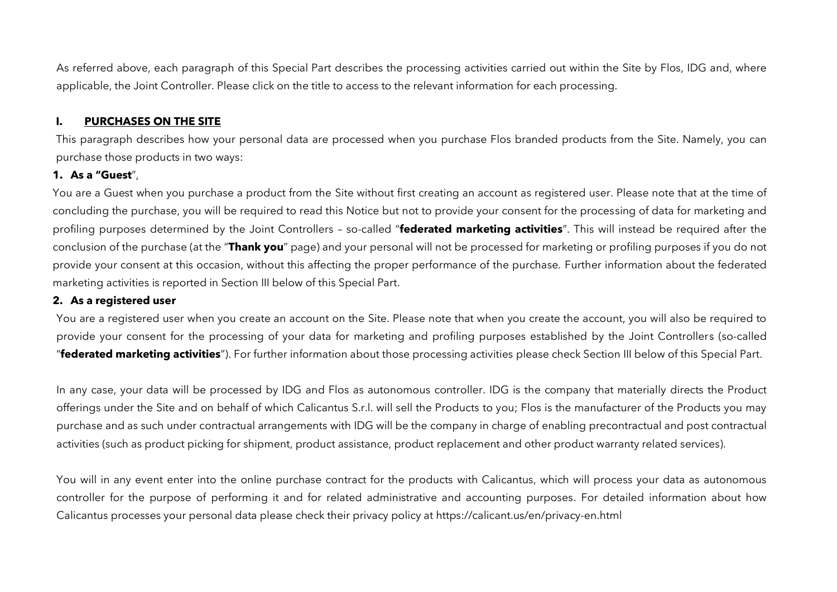As referred above, each paragraph of this Special Part describes the processing activities carried out within the Site by Flos, IDG and, where applicable, the Joint Controller. Please click on the title to access to the relevant information for each processing.

#### **I. PURCHASES ON THE SITE**

This paragraph describes how your personal data are processed when you purchase Flos branded products from the Site. Namely, you can purchase those products in two ways:

## **1. As a "Guest**",

You are a Guest when you purchase a product from the Site without first creating an account as registered user. Please note that at the time of concluding the purchase, you will be required to read this Notice but not to provide your consent for the processing of data for marketing and profiling purposes determined by the Joint Controllers – so-called "**federated marketing activities**". This will instead be required after the conclusion of the purchase (at the "**Thank you**" page) and your personal will not be processed for marketing or profiling purposes if you do not provide your consent at this occasion, without this affecting the proper performance of the purchase. Further information about the federated marketing activities is reported in Section III below of this Special Part.

#### **2. As a registered user**

You are a registered user when you create an account on the Site. Please note that when you create the account, you will also be required to provide your consent for the processing of your data for marketing and profiling purposes established by the Joint Controllers (so-called "**federated marketing activities**"). For further information about those processing activities please check Section III below of this Special Part.

In any case, your data will be processed by IDG and Flos as autonomous controller. IDG is the company that materially directs the Product offerings under the Site and on behalf of which Calicantus S.r.l. will sell the Products to you; Flos is the manufacturer of the Products you may purchase and as such under contractual arrangements with IDG will be the company in charge of enabling precontractual and post contractual activities (such as product picking for shipment, product assistance, product replacement and other product warranty related services).

You will in any event enter into the online purchase contract for the products with Calicantus, which will process your data as autonomous controller for the purpose of performing it and for related administrative and accounting purposes. For detailed information about how Calicantus processes your personal data please check their privacy policy at https://calicant.us/en/privacy-en.html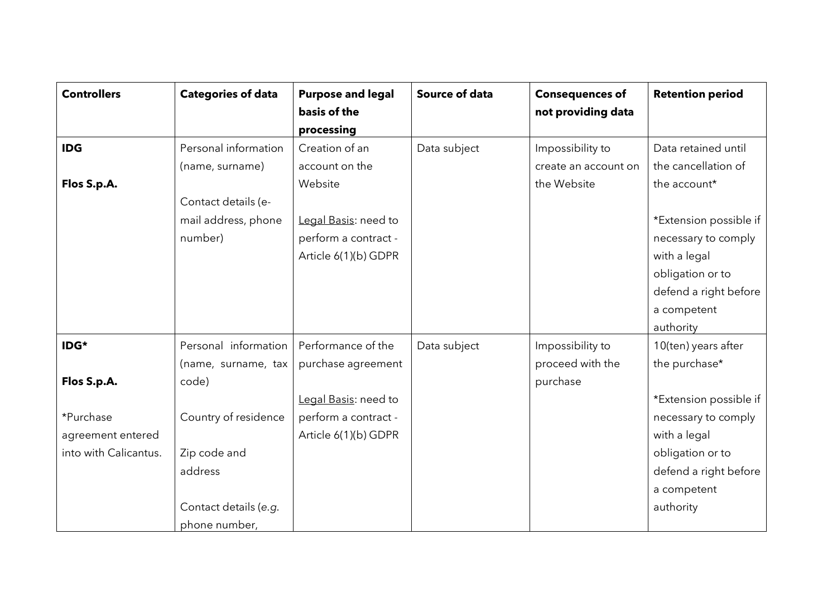| <b>Controllers</b>    | <b>Categories of data</b> | <b>Purpose and legal</b> | <b>Source of data</b> | <b>Consequences of</b> | <b>Retention period</b> |
|-----------------------|---------------------------|--------------------------|-----------------------|------------------------|-------------------------|
|                       |                           | basis of the             |                       | not providing data     |                         |
|                       |                           | processing               |                       |                        |                         |
| <b>IDG</b>            | Personal information      | Creation of an           | Data subject          | Impossibility to       | Data retained until     |
|                       | (name, surname)           | account on the           |                       | create an account on   | the cancellation of     |
| Flos S.p.A.           |                           | Website                  |                       | the Website            | the account*            |
|                       | Contact details (e-       |                          |                       |                        |                         |
|                       | mail address, phone       | Legal Basis: need to     |                       |                        | *Extension possible if  |
|                       | number)                   | perform a contract -     |                       |                        | necessary to comply     |
|                       |                           | Article 6(1)(b) GDPR     |                       |                        | with a legal            |
|                       |                           |                          |                       |                        | obligation or to        |
|                       |                           |                          |                       |                        | defend a right before   |
|                       |                           |                          |                       |                        | a competent             |
|                       |                           |                          |                       |                        | authority               |
| IDG*                  | Personal information      | Performance of the       | Data subject          | Impossibility to       | 10(ten) years after     |
|                       | (name, surname, tax       | purchase agreement       |                       | proceed with the       | the purchase*           |
| Flos S.p.A.           | code)                     |                          |                       | purchase               |                         |
|                       |                           | Legal Basis: need to     |                       |                        | *Extension possible if  |
| *Purchase             | Country of residence      | perform a contract -     |                       |                        | necessary to comply     |
| agreement entered     |                           | Article 6(1)(b) GDPR     |                       |                        | with a legal            |
| into with Calicantus. | Zip code and              |                          |                       |                        | obligation or to        |
|                       | address                   |                          |                       |                        | defend a right before   |
|                       |                           |                          |                       |                        | a competent             |
|                       | Contact details (e.g.     |                          |                       |                        | authority               |
|                       | phone number,             |                          |                       |                        |                         |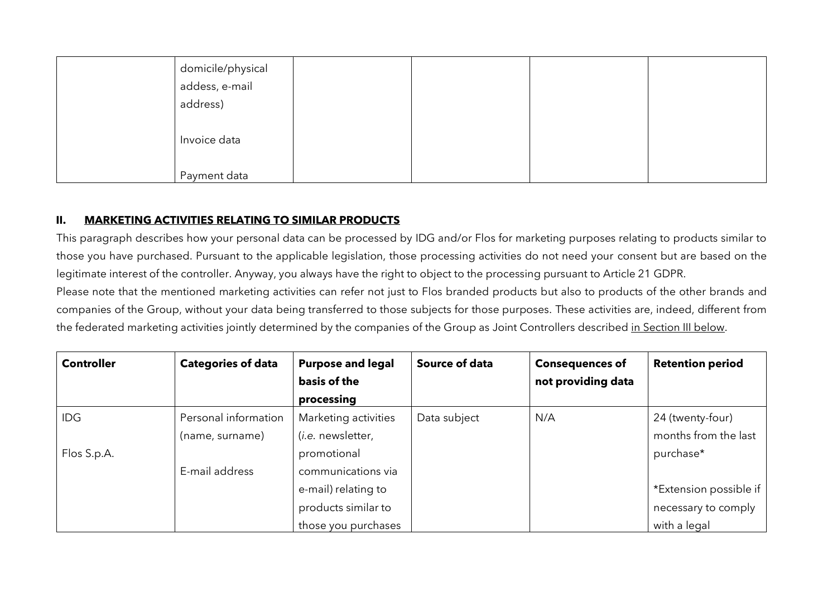| domicile/physical<br>addess, e-mail |  |  |
|-------------------------------------|--|--|
|                                     |  |  |
| address)                            |  |  |
|                                     |  |  |
| Invoice data                        |  |  |
|                                     |  |  |
| Payment data                        |  |  |

## **II. MARKETING ACTIVITIES RELATING TO SIMILAR PRODUCTS**

This paragraph describes how your personal data can be processed by IDG and/or Flos for marketing purposes relating to products similar to those you have purchased. Pursuant to the applicable legislation, those processing activities do not need your consent but are based on the legitimate interest of the controller. Anyway, you always have the right to object to the processing pursuant to Article 21 GDPR.

Please note that the mentioned marketing activities can refer not just to Flos branded products but also to products of the other brands and companies of the Group, without your data being transferred to those subjects for those purposes. These activities are, indeed, different from the federated marketing activities jointly determined by the companies of the Group as Joint Controllers described in Section III below.

| <b>Controller</b> | <b>Categories of data</b> | <b>Purpose and legal</b>  | Source of data | <b>Consequences of</b> | <b>Retention period</b> |
|-------------------|---------------------------|---------------------------|----------------|------------------------|-------------------------|
|                   |                           | basis of the              |                | not providing data     |                         |
|                   |                           | processing                |                |                        |                         |
| <b>IDG</b>        | Personal information      | Marketing activities      | Data subject   | N/A                    | 24 (twenty-four)        |
|                   | (name, surname)           | ( <i>i.e.</i> newsletter, |                |                        | months from the last    |
| Flos S.p.A.       |                           | promotional               |                |                        | purchase*               |
|                   | E-mail address            | communications via        |                |                        |                         |
|                   |                           | e-mail) relating to       |                |                        | *Extension possible if  |
|                   |                           | products similar to       |                |                        | necessary to comply     |
|                   |                           | those you purchases       |                |                        | with a legal            |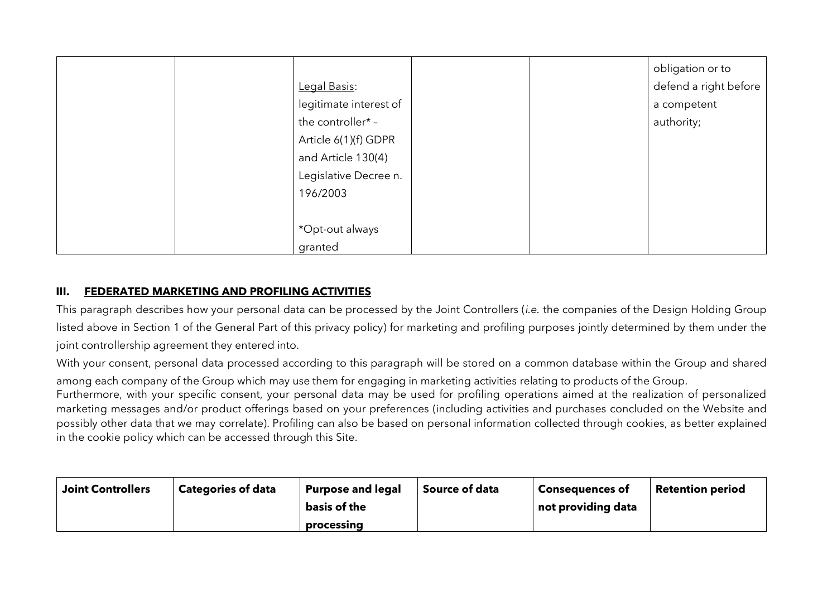|  |                        |  | obligation or to      |
|--|------------------------|--|-----------------------|
|  | Legal Basis:           |  | defend a right before |
|  | legitimate interest of |  | a competent           |
|  | the controller* -      |  | authority;            |
|  | Article 6(1)(f) GDPR   |  |                       |
|  | and Article 130(4)     |  |                       |
|  | Legislative Decree n.  |  |                       |
|  | 196/2003               |  |                       |
|  |                        |  |                       |
|  | *Opt-out always        |  |                       |
|  | granted                |  |                       |

### <span id="page-13-0"></span>**III. FEDERATED MARKETING AND PROFILING ACTIVITIES**

This paragraph describes how your personal data can be processed by the Joint Controllers (*i.e.* the companies of the Design Holding Group listed above in Section 1 of the General Part of this privacy policy) for marketing and profiling purposes jointly determined by them under the joint controllership agreement they entered into.

With your consent, personal data processed according to this paragraph will be stored on a common database within the Group and shared

among each company of the Group which may use them for engaging in marketing activities relating to products of the Group.

Furthermore, with your specific consent, your personal data may be used for profiling operations aimed at the realization of personalized marketing messages and/or product offerings based on your preferences (including activities and purchases concluded on the Website and possibly other data that we may correlate). Profiling can also be based on personal information collected through cookies, as better explained in the cookie policy which can be accessed through this Site.

| <b>Joint Controllers</b> | <b>Categories of data</b> | <b>Purpose and legal</b> | <b>Source of data</b> | <b>Consequences of</b> | <b>Retention period</b> |
|--------------------------|---------------------------|--------------------------|-----------------------|------------------------|-------------------------|
|                          |                           | basis of the             |                       | not providing data     |                         |
|                          |                           | processing               |                       |                        |                         |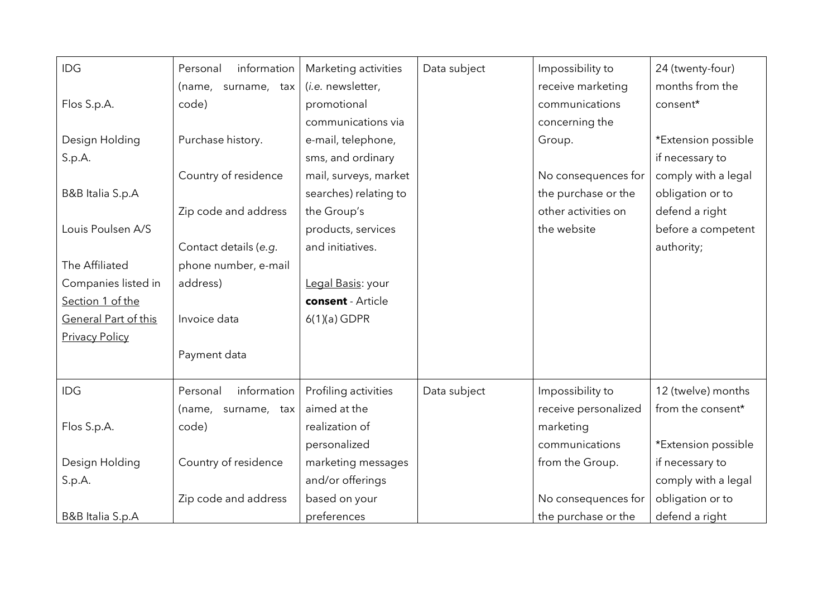| IDG                   | information<br>Personal | Marketing activities  | Data subject | Impossibility to     | 24 (twenty-four)    |
|-----------------------|-------------------------|-----------------------|--------------|----------------------|---------------------|
|                       | (name, surname, tax     | (i.e. newsletter,     |              | receive marketing    | months from the     |
| Flos S.p.A.           | code)                   | promotional           |              | communications       | consent*            |
|                       |                         | communications via    |              | concerning the       |                     |
| Design Holding        | Purchase history.       | e-mail, telephone,    |              | Group.               | *Extension possible |
| S.p.A.                |                         | sms, and ordinary     |              |                      | if necessary to     |
|                       | Country of residence    | mail, surveys, market |              | No consequences for  | comply with a legal |
| B&B Italia S.p.A      |                         | searches) relating to |              | the purchase or the  | obligation or to    |
|                       | Zip code and address    | the Group's           |              | other activities on  | defend a right      |
| Louis Poulsen A/S     |                         | products, services    |              | the website          | before a competent  |
|                       | Contact details (e.g.   | and initiatives.      |              |                      | authority;          |
| The Affiliated        | phone number, e-mail    |                       |              |                      |                     |
| Companies listed in   | address)                | Legal Basis: your     |              |                      |                     |
| Section 1 of the      |                         | consent - Article     |              |                      |                     |
| General Part of this  | Invoice data            | $6(1)(a)$ GDPR        |              |                      |                     |
| <b>Privacy Policy</b> |                         |                       |              |                      |                     |
|                       | Payment data            |                       |              |                      |                     |
|                       |                         |                       |              |                      |                     |
| IDG                   | information<br>Personal | Profiling activities  | Data subject | Impossibility to     | 12 (twelve) months  |
|                       | (name, surname, tax     | aimed at the          |              | receive personalized | from the consent*   |
| Flos S.p.A.           | code)                   | realization of        |              | marketing            |                     |
|                       |                         | personalized          |              | communications       | *Extension possible |
| Design Holding        | Country of residence    | marketing messages    |              | from the Group.      | if necessary to     |
| S.p.A.                |                         | and/or offerings      |              |                      | comply with a legal |
|                       | Zip code and address    | based on your         |              | No consequences for  | obligation or to    |
| B&B Italia S.p.A      |                         | preferences           |              | the purchase or the  | defend a right      |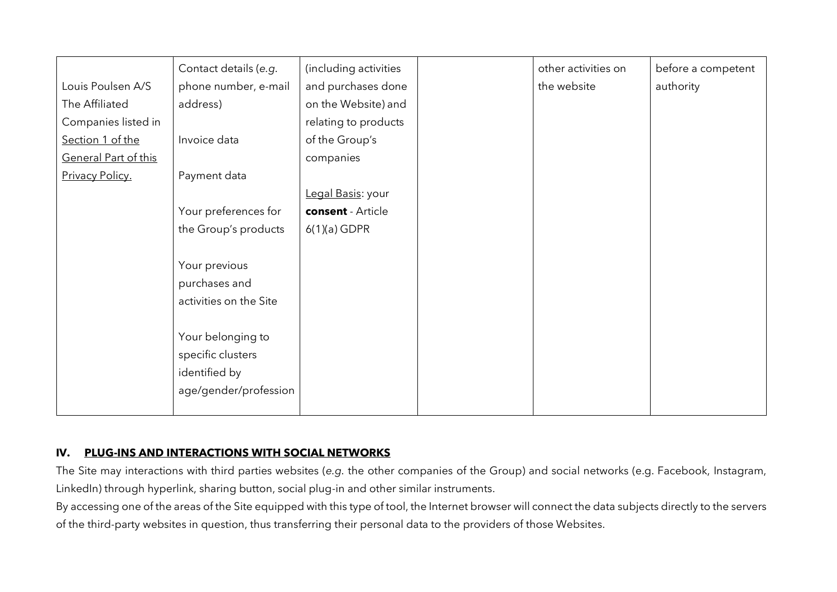|                      | Contact details (e.g.  | (including activities | other activities on | before a competent |
|----------------------|------------------------|-----------------------|---------------------|--------------------|
| Louis Poulsen A/S    | phone number, e-mail   | and purchases done    | the website         | authority          |
| The Affiliated       | address)               | on the Website) and   |                     |                    |
| Companies listed in  |                        | relating to products  |                     |                    |
| Section 1 of the     | Invoice data           | of the Group's        |                     |                    |
| General Part of this |                        | companies             |                     |                    |
| Privacy Policy.      | Payment data           |                       |                     |                    |
|                      |                        | Legal Basis: your     |                     |                    |
|                      | Your preferences for   | consent - Article     |                     |                    |
|                      | the Group's products   | $6(1)(a)$ GDPR        |                     |                    |
|                      |                        |                       |                     |                    |
|                      | Your previous          |                       |                     |                    |
|                      | purchases and          |                       |                     |                    |
|                      | activities on the Site |                       |                     |                    |
|                      |                        |                       |                     |                    |
|                      | Your belonging to      |                       |                     |                    |
|                      | specific clusters      |                       |                     |                    |
|                      | identified by          |                       |                     |                    |
|                      | age/gender/profession  |                       |                     |                    |
|                      |                        |                       |                     |                    |

#### **IV. PLUG-INS AND INTERACTIONS WITH SOCIAL NETWORKS**

The Site may interactions with third parties websites (*e.g.* the other companies of the Group) and social networks (e.g. Facebook, Instagram, LinkedIn) through hyperlink, sharing button, social plug-in and other similar instruments.

By accessing one of the areas of the Site equipped with this type of tool, the Internet browser will connect the data subjects directly to the servers of the third-party websites in question, thus transferring their personal data to the providers of those Websites.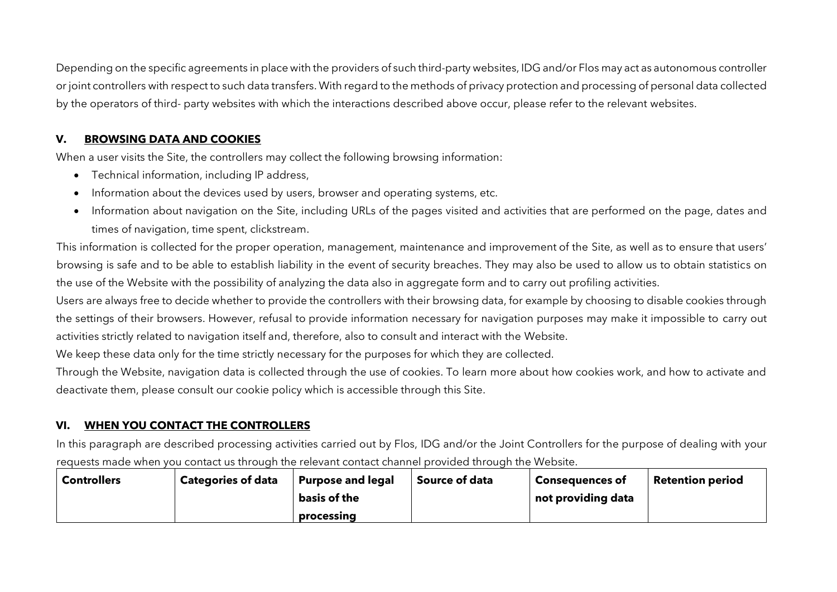Depending on the specific agreements in place with the providers of such third-party websites, IDG and/or Flos may act as autonomous controller or joint controllers with respect to such data transfers. With regard to the methods of privacy protection and processing of personal data collected by the operators of third- party websites with which the interactions described above occur, please refer to the relevant websites.

## **V. BROWSING DATA AND COOKIES**

When a user visits the Site, the controllers may collect the following browsing information:

- Technical information, including IP address,
- Information about the devices used by users, browser and operating systems, etc.
- Information about navigation on the Site, including URLs of the pages visited and activities that are performed on the page, dates and times of navigation, time spent, clickstream.

This information is collected for the proper operation, management, maintenance and improvement of the Site, as well as to ensure that users' browsing is safe and to be able to establish liability in the event of security breaches. They may also be used to allow us to obtain statistics on the use of the Website with the possibility of analyzing the data also in aggregate form and to carry out profiling activities.

Users are always free to decide whether to provide the controllers with their browsing data, for example by choosing to disable cookies through the settings of their browsers. However, refusal to provide information necessary for navigation purposes may make it impossible to carry out activities strictly related to navigation itself and, therefore, also to consult and interact with the Website.

We keep these data only for the time strictly necessary for the purposes for which they are collected.

Through the Website, navigation data is collected through the use of cookies. To learn more about how cookies work, and how to activate and deactivate them, please consult our cookie policy which is accessible through this Site.

# **VI. WHEN YOU CONTACT THE CONTROLLERS**

In this paragraph are described processing activities carried out by Flos, IDG and/or the Joint Controllers for the purpose of dealing with your requests made when you contact us through the relevant contact channel provided through the Website.

| <b>Controllers</b> | <b>Categories of data</b> | <b>Purpose and legal</b> | <b>Source of data</b> | <b>Consequences of</b> | <b>Retention period</b> |
|--------------------|---------------------------|--------------------------|-----------------------|------------------------|-------------------------|
|                    |                           | basis of the             |                       | not providing data     |                         |
|                    |                           | processing               |                       |                        |                         |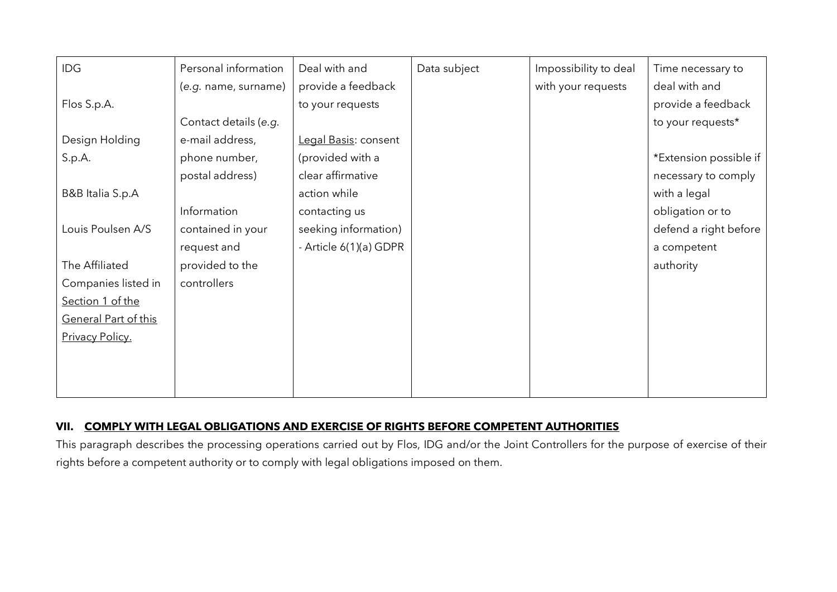| IDG                  | Personal information  | Deal with and          | Data subject | Impossibility to deal | Time necessary to      |
|----------------------|-----------------------|------------------------|--------------|-----------------------|------------------------|
|                      | (e.g. name, surname)  | provide a feedback     |              | with your requests    | deal with and          |
| Flos S.p.A.          |                       | to your requests       |              |                       | provide a feedback     |
|                      | Contact details (e.g. |                        |              |                       | to your requests*      |
| Design Holding       | e-mail address,       | Legal Basis: consent   |              |                       |                        |
| S.p.A.               | phone number,         | (provided with a       |              |                       | *Extension possible if |
|                      | postal address)       | clear affirmative      |              |                       | necessary to comply    |
| B&B Italia S.p.A     |                       | action while           |              |                       | with a legal           |
|                      | Information           | contacting us          |              |                       | obligation or to       |
| Louis Poulsen A/S    | contained in your     | seeking information)   |              |                       | defend a right before  |
|                      | request and           | - Article 6(1)(a) GDPR |              |                       | a competent            |
| The Affiliated       | provided to the       |                        |              |                       | authority              |
| Companies listed in  | controllers           |                        |              |                       |                        |
| Section 1 of the     |                       |                        |              |                       |                        |
| General Part of this |                       |                        |              |                       |                        |
| Privacy Policy.      |                       |                        |              |                       |                        |
|                      |                       |                        |              |                       |                        |
|                      |                       |                        |              |                       |                        |
|                      |                       |                        |              |                       |                        |

## **VII. COMPLY WITH LEGAL OBLIGATIONS AND EXERCISE OF RIGHTS BEFORE COMPETENT AUTHORITIES**

This paragraph describes the processing operations carried out by Flos, IDG and/or the Joint Controllers for the purpose of exercise of their rights before a competent authority or to comply with legal obligations imposed on them.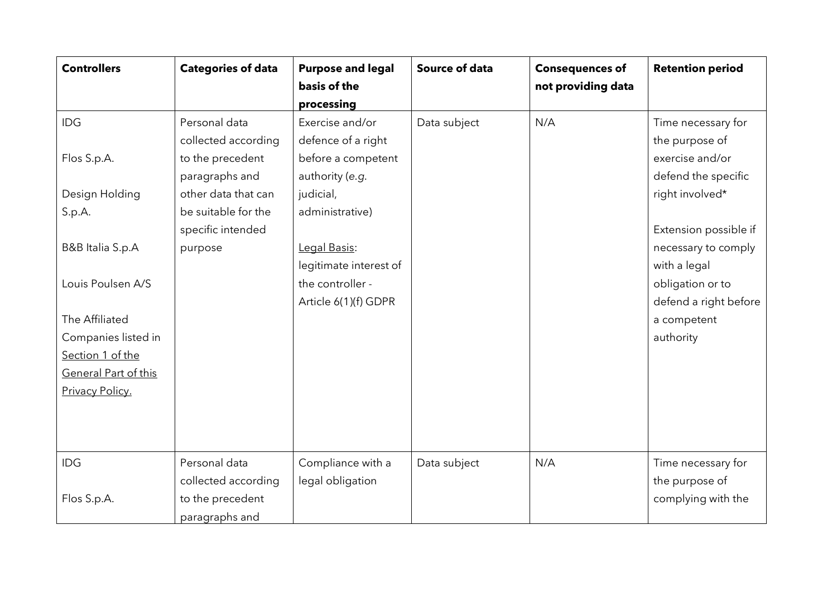| <b>Controllers</b>   | <b>Categories of data</b> | <b>Purpose and legal</b> | <b>Source of data</b> | <b>Consequences of</b> | <b>Retention period</b> |
|----------------------|---------------------------|--------------------------|-----------------------|------------------------|-------------------------|
|                      |                           | basis of the             |                       | not providing data     |                         |
|                      |                           | processing               |                       |                        |                         |
| IDG                  | Personal data             | Exercise and/or          | Data subject          | N/A                    | Time necessary for      |
|                      | collected according       | defence of a right       |                       |                        | the purpose of          |
| Flos S.p.A.          | to the precedent          | before a competent       |                       |                        | exercise and/or         |
|                      | paragraphs and            | authority (e.g.          |                       |                        | defend the specific     |
| Design Holding       | other data that can       | judicial,                |                       |                        | right involved*         |
| S.p.A.               | be suitable for the       | administrative)          |                       |                        |                         |
|                      | specific intended         |                          |                       |                        | Extension possible if   |
| B&B Italia S.p.A     | purpose                   | Legal Basis:             |                       |                        | necessary to comply     |
|                      |                           | legitimate interest of   |                       |                        | with a legal            |
| Louis Poulsen A/S    |                           | the controller -         |                       |                        | obligation or to        |
|                      |                           | Article 6(1)(f) GDPR     |                       |                        | defend a right before   |
| The Affiliated       |                           |                          |                       |                        | a competent             |
| Companies listed in  |                           |                          |                       |                        | authority               |
| Section 1 of the     |                           |                          |                       |                        |                         |
| General Part of this |                           |                          |                       |                        |                         |
| Privacy Policy.      |                           |                          |                       |                        |                         |
|                      |                           |                          |                       |                        |                         |
|                      |                           |                          |                       |                        |                         |
|                      |                           |                          |                       |                        |                         |
| IDG                  | Personal data             | Compliance with a        | Data subject          | N/A                    | Time necessary for      |
|                      | collected according       | legal obligation         |                       |                        | the purpose of          |
| Flos S.p.A.          | to the precedent          |                          |                       |                        | complying with the      |
|                      | paragraphs and            |                          |                       |                        |                         |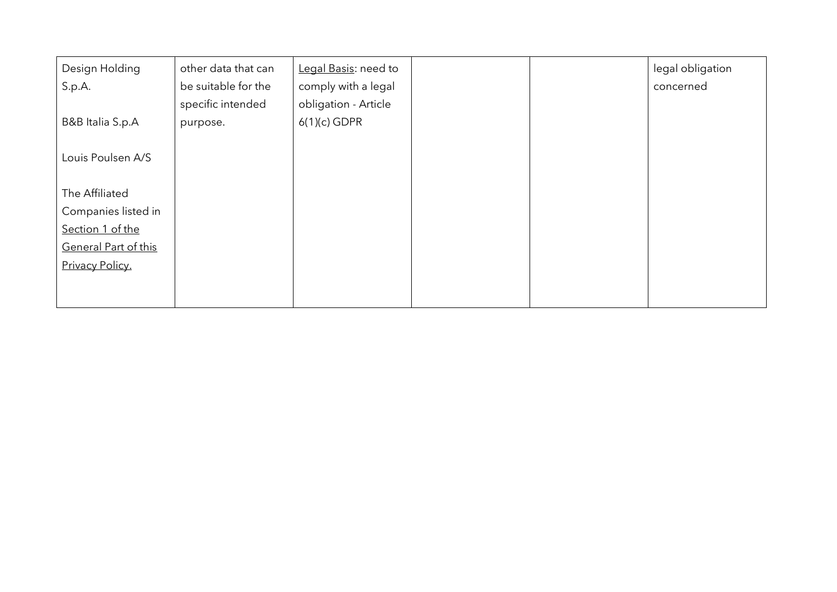| Design Holding       | other data that can | Legal Basis: need to |  | legal obligation |
|----------------------|---------------------|----------------------|--|------------------|
| S.p.A.               | be suitable for the | comply with a legal  |  | concerned        |
|                      | specific intended   | obligation - Article |  |                  |
| B&B Italia S.p.A     | purpose.            | $6(1)(c)$ GDPR       |  |                  |
|                      |                     |                      |  |                  |
| Louis Poulsen A/S    |                     |                      |  |                  |
|                      |                     |                      |  |                  |
| The Affiliated       |                     |                      |  |                  |
| Companies listed in  |                     |                      |  |                  |
| Section 1 of the     |                     |                      |  |                  |
| General Part of this |                     |                      |  |                  |
| Privacy Policy.      |                     |                      |  |                  |
|                      |                     |                      |  |                  |
|                      |                     |                      |  |                  |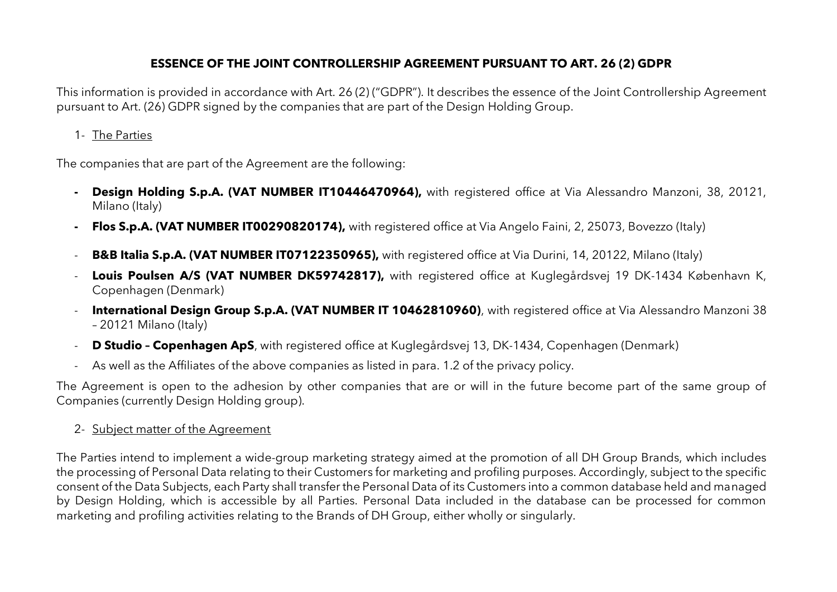# **ESSENCE OF THE JOINT CONTROLLERSHIP AGREEMENT PURSUANT TO ART. 26 (2) GDPR**

This information is provided in accordance with Art. 26 (2) ("GDPR"). It describes the essence of the Joint Controllership Agreement pursuant to Art. (26) GDPR signed by the companies that are part of the Design Holding Group.

1- The Parties

The companies that are part of the Agreement are the following:

- **- Design Holding S.p.A. (VAT NUMBER IT10446470964),** with registered office at Via Alessandro Manzoni, 38, 20121, Milano (Italy)
- **- Flos S.p.A. (VAT NUMBER IT00290820174),** with registered office at Via Angelo Faini, 2, 25073, Bovezzo (Italy)
- **B&B Italia S.p.A. (VAT NUMBER IT07122350965),** with registered office at Via Durini, 14, 20122, Milano (Italy)
- **Louis Poulsen A/S (VAT NUMBER DK59742817),** with registered office at Kuglegårdsvej 19 DK-1434 København K, Copenhagen (Denmark)
- **International Design Group S.p.A. (VAT NUMBER IT 10462810960)**, with registered office at Via Alessandro Manzoni 38 – 20121 Milano (Italy)
- **D Studio – Copenhagen ApS**, with registered office at Kuglegårdsvej 13, DK-1434, Copenhagen (Denmark)
- As well as the Affiliates of the above companies as listed in para. 1.2 of the privacy policy.

The Agreement is open to the adhesion by other companies that are or will in the future become part of the same group of Companies (currently Design Holding group).

2- Subject matter of the Agreement

The Parties intend to implement a wide-group marketing strategy aimed at the promotion of all DH Group Brands, which includes the processing of Personal Data relating to their Customers for marketing and profiling purposes. Accordingly, subject to the specific consent of the Data Subjects, each Party shall transfer the Personal Data of its Customers into a common database held and managed by Design Holding, which is accessible by all Parties. Personal Data included in the database can be processed for common marketing and profiling activities relating to the Brands of DH Group, either wholly or singularly.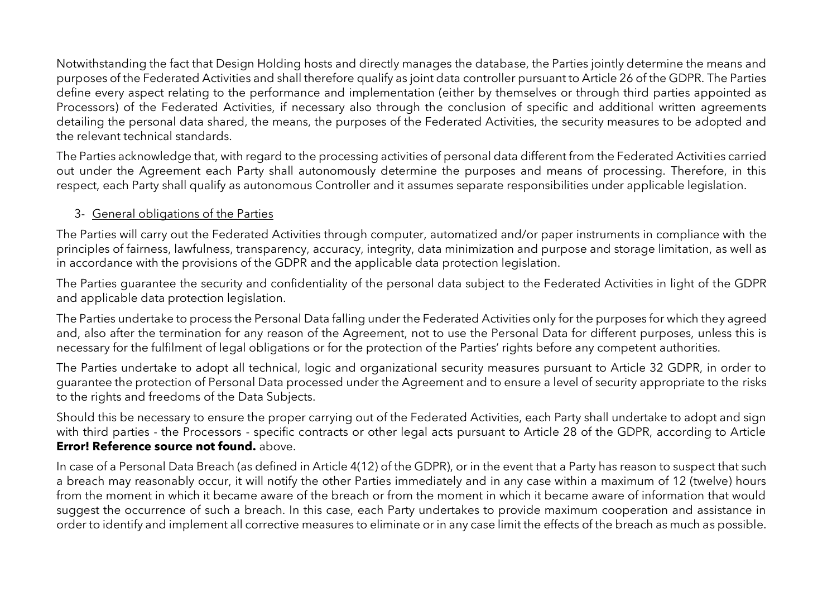Notwithstanding the fact that Design Holding hosts and directly manages the database, the Parties jointly determine the means and purposes of the Federated Activities and shall therefore qualify as joint data controller pursuant to Article 26 of the GDPR. The Parties define every aspect relating to the performance and implementation (either by themselves or through third parties appointed as Processors) of the Federated Activities, if necessary also through the conclusion of specific and additional written agreements detailing the personal data shared, the means, the purposes of the Federated Activities, the security measures to be adopted and the relevant technical standards.

The Parties acknowledge that, with regard to the processing activities of personal data different from the Federated Activities carried out under the Agreement each Party shall autonomously determine the purposes and means of processing. Therefore, in this respect, each Party shall qualify as autonomous Controller and it assumes separate responsibilities under applicable legislation.

## 3- General obligations of the Parties

The Parties will carry out the Federated Activities through computer, automatized and/or paper instruments in compliance with the principles of fairness, lawfulness, transparency, accuracy, integrity, data minimization and purpose and storage limitation, as well as in accordance with the provisions of the GDPR and the applicable data protection legislation.

The Parties guarantee the security and confidentiality of the personal data subject to the Federated Activities in light of the GDPR and applicable data protection legislation.

The Parties undertake to process the Personal Data falling under the Federated Activities only for the purposes for which they agreed and, also after the termination for any reason of the Agreement, not to use the Personal Data for different purposes, unless this is necessary for the fulfilment of legal obligations or for the protection of the Parties' rights before any competent authorities.

The Parties undertake to adopt all technical, logic and organizational security measures pursuant to Article 32 GDPR, in order to guarantee the protection of Personal Data processed under the Agreement and to ensure a level of security appropriate to the risks to the rights and freedoms of the Data Subjects.

Should this be necessary to ensure the proper carrying out of the Federated Activities, each Party shall undertake to adopt and sign with third parties - the Processors - specific contracts or other legal acts pursuant to Article 28 of the GDPR, according to Article **Error! Reference source not found.** above.

In case of a Personal Data Breach (as defined in Article 4(12) of the GDPR), or in the event that a Party has reason to suspect that such a breach may reasonably occur, it will notify the other Parties immediately and in any case within a maximum of 12 (twelve) hours from the moment in which it became aware of the breach or from the moment in which it became aware of information that would suggest the occurrence of such a breach. In this case, each Party undertakes to provide maximum cooperation and assistance in order to identify and implement all corrective measures to eliminate or in any case limit the effects of the breach as much as possible.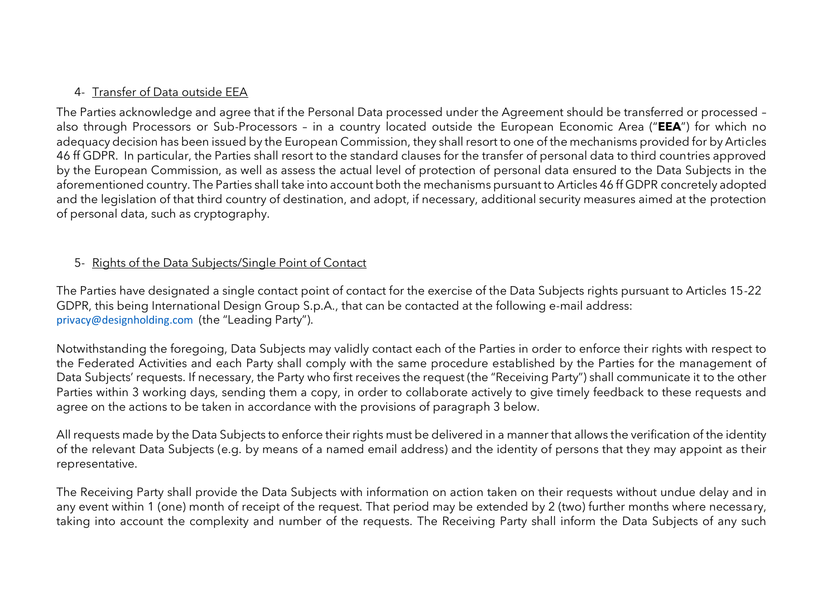## 4- Transfer of Data outside EEA

The Parties acknowledge and agree that if the Personal Data processed under the Agreement should be transferred or processed – also through Processors or Sub-Processors – in a country located outside the European Economic Area ("**EEA**") for which no adequacy decision has been issued by the European Commission, they shall resort to one of the mechanisms provided for by Articles 46 ff GDPR. In particular, the Parties shall resort to the standard clauses for the transfer of personal data to third countries approved by the European Commission, as well as assess the actual level of protection of personal data ensured to the Data Subjects in the aforementioned country. The Parties shall take into account both the mechanisms pursuant to Articles 46 ff GDPR concretely adopted and the legislation of that third country of destination, and adopt, if necessary, additional security measures aimed at the protection of personal data, such as cryptography.

## 5- Rights of the Data Subjects/Single Point of Contact

The Parties have designated a single contact point of contact for the exercise of the Data Subjects rights pursuant to Articles 15-22 GDPR, this being International Design Group S.p.A., that can be contacted at the following e-mail address: privacy@designholding.com (the "Leading Party").

Notwithstanding the foregoing, Data Subjects may validly contact each of the Parties in order to enforce their rights with respect to the Federated Activities and each Party shall comply with the same procedure established by the Parties for the management of Data Subjects' requests. If necessary, the Party who first receives the request (the "Receiving Party") shall communicate it to the other Parties within 3 working days, sending them a copy, in order to collaborate actively to give timely feedback to these requests and agree on the actions to be taken in accordance with the provisions of paragraph 3 below.

All requests made by the Data Subjects to enforce their rights must be delivered in a manner that allows the verification of the identity of the relevant Data Subjects (e.g. by means of a named email address) and the identity of persons that they may appoint as their representative.

The Receiving Party shall provide the Data Subjects with information on action taken on their requests without undue delay and in any event within 1 (one) month of receipt of the request. That period may be extended by 2 (two) further months where necessary, taking into account the complexity and number of the requests. The Receiving Party shall inform the Data Subjects of any such